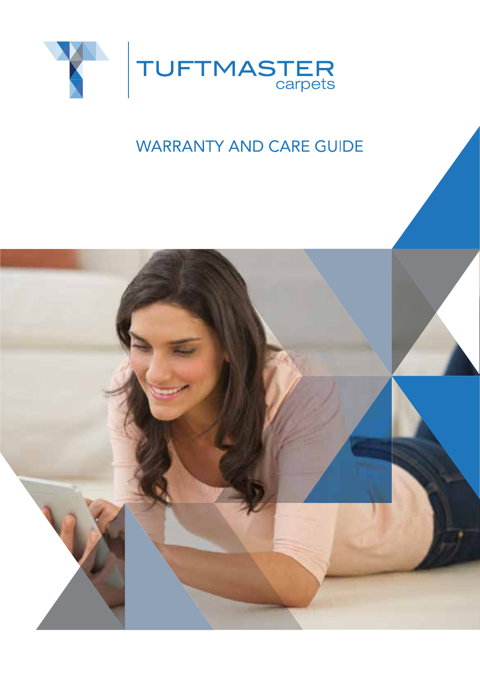

# **WARRANTY AND CARE GUIDE**

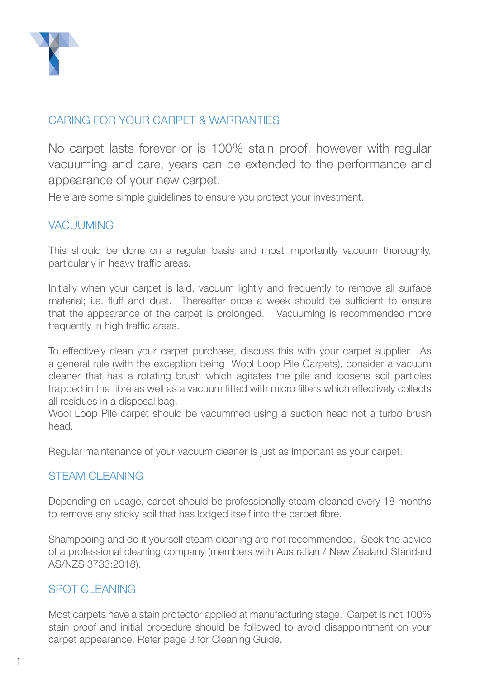

### CARING FOR YOUR CARPET & WARRANTIES

No carpet lasts forever or is 100% stain proof, however with regular vacuuming and care, years can be extended to the performance and appearance of your new carpet.

Here are some simple guidelines to ensure you protect your investment.

### VACUUMING

This should be done on a regular basis and most importantly vacuum thoroughly, particularly in heavy traffic areas.

Initially when your carpet is laid, vacuum lightly and frequently to remove all surface material; i.e. fluff and dust. Thereafter once a week should be sufficient to ensure that the appearance of the carpet is prolonged. Vacuuming is recommended more frequently in high traffic areas.

To effectively clean your carpet purchase, discuss this with your carpet supplier. As a general rule (with the exception being Wool Loop Pile Carpets), consider a vacuum cleaner that has a rotating brush which agitates the pile and loosens soil particles trapped in the fibre as well as a vacuum fitted with micro filters which effectively collects all residues in a disposal bag.

Wool Loop Pile carpet should be vacummed using a suction head not a turbo brush head.

Regular maintenance of your vacuum cleaner is just as important as your carpet.

### STEAM CLEANING

Depending on usage, carpet should be professionally steam cleaned every 18 months to remove any sticky soil that has lodged itself into the carpet fibre.

Shampooing and do it yourself steam cleaning are not recommended. Seek the advice of a professional cleaning company (members with Australian / New Zealand Standard AS/NZS 3733:2018).

### SPOT CLEANING

Most carpets have a stain protector applied at manufacturing stage. Carpet is not 100% stain proof and initial procedure should be followed to avoid disappointment on your carpet appearance. Refer page 3 for Cleaning Guide.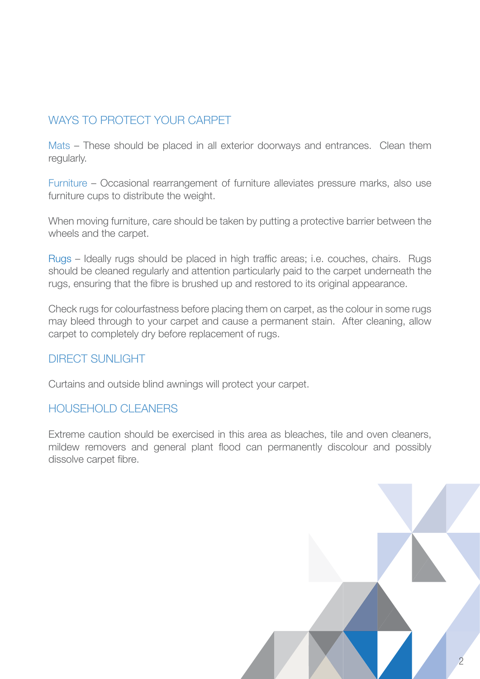## WAYS TO PROTECT YOUR CARPET

Mats – These should be placed in all exterior doorways and entrances. Clean them regularly.

Furniture – Occasional rearrangement of furniture alleviates pressure marks, also use furniture cups to distribute the weight.

When moving furniture, care should be taken by putting a protective barrier between the wheels and the carpet.

Rugs – Ideally rugs should be placed in high traffic areas; i.e. couches, chairs. Rugs should be cleaned regularly and attention particularly paid to the carpet underneath the rugs, ensuring that the fibre is brushed up and restored to its original appearance.

Check rugs for colourfastness before placing them on carpet, as the colour in some rugs may bleed through to your carpet and cause a permanent stain. After cleaning, allow carpet to completely dry before replacement of rugs.

### DIRECT SUNLIGHT

Curtains and outside blind awnings will protect your carpet.

### HOUSEHOLD CLEANERS

Extreme caution should be exercised in this area as bleaches, tile and oven cleaners, mildew removers and general plant flood can permanently discolour and possibly dissolve carpet fibre.

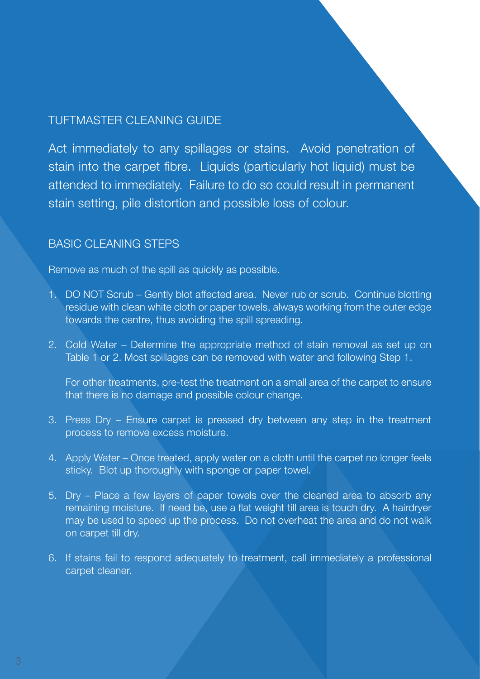### TUFTMASTER CLEANING GUIDE

Act immediately to any spillages or stains. Avoid penetration of stain into the carpet fibre. Liquids (particularly hot liquid) must be attended to immediately. Failure to do so could result in permanent stain setting, pile distortion and possible loss of colour.

### **BASIC CLEANING STEPS**

Remove as much of the spill as quickly as possible.

- 1. DO NOT Scrub Gently blot affected area. Never rub or scrub. Continue blotting residue with clean white cloth or paper towels, always working from the outer edge towards the centre, thus avoiding the spill spreading.
- 2. Cold Water Determine the appropriate method of stain removal as set up on Table 1 or 2. Most spillages can be removed with water and following Step 1.

For other treatments, pre-test the treatment on a small area of the carpet to ensure that there is no damage and possible colour change.

- 3. Press Dry Ensure carpet is pressed dry between any step in the treatment process to remove excess moisture.
- 4. Apply Water Once treated, apply water on a cloth until the carpet no longer feels sticky. Blot up thoroughly with sponge or paper towel.
- 5. Dry Place a few layers of paper towels over the cleaned area to absorb any remaining moisture. If need be, use a flat weight till area is touch dry. A hairdryer may be used to speed up the process. Do not overheat the area and do not walk on carpet till dry.
- 6. If stains fail to respond adequately to treatment, call immediately a professional carpet cleaner.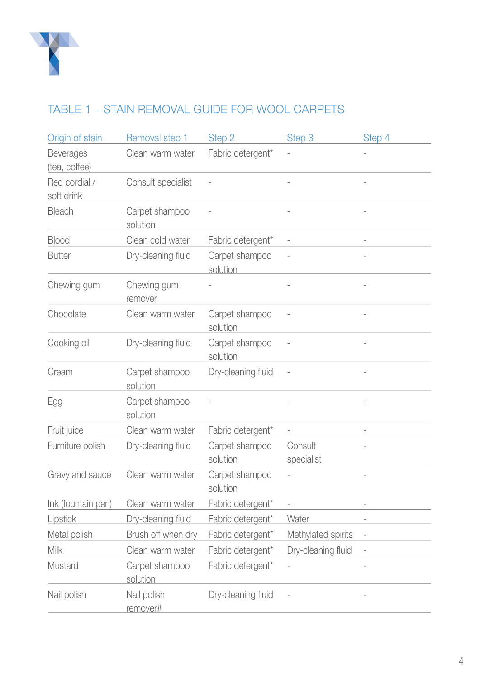

# TABLE 1 – STAIN REMOVAL GUIDE FOR WOOL CARPETS

| Origin of stain                   | Removal step 1             | Step 2                     | Step 3                   | Step 4                   |
|-----------------------------------|----------------------------|----------------------------|--------------------------|--------------------------|
| <b>Beverages</b><br>(tea, coffee) | Clean warm water           | Fabric detergent*          |                          |                          |
| Red cordial /<br>soft drink       | Consult specialist         |                            |                          |                          |
| Bleach                            | Carpet shampoo<br>solution |                            |                          |                          |
| <b>Blood</b>                      | Clean cold water           | Fabric detergent*          |                          |                          |
| Butter                            | Dry-cleaning fluid         | Carpet shampoo<br>solution |                          |                          |
| Chewing gum                       | Chewing gum<br>remover     |                            |                          |                          |
| Chocolate                         | Clean warm water           | Carpet shampoo<br>solution |                          |                          |
| Cooking oil                       | Dry-cleaning fluid         | Carpet shampoo<br>solution |                          |                          |
| Cream                             | Carpet shampoo<br>solution | Dry-cleaning fluid         |                          |                          |
| Egg                               | Carpet shampoo<br>solution |                            |                          |                          |
| Fruit juice                       | Clean warm water           | Fabric detergent*          | $\overline{\phantom{0}}$ |                          |
| Furniture polish                  | Dry-cleaning fluid         | Carpet shampoo<br>solution | Consult<br>specialist    |                          |
| Gravy and sauce                   | Clean warm water           | Carpet shampoo<br>solution |                          |                          |
| Ink (fountain pen)                | Clean warm water           | Fabric detergent*          |                          |                          |
| Lipstick                          | Dry-cleaning fluid         | Fabric detergent*          | Water                    |                          |
| Metal polish                      | Brush off when dry         | Fabric detergent*          | Methylated spirits       | $\overline{\phantom{a}}$ |
| Milk                              | Clean warm water           | Fabric detergent*          | Dry-cleaning fluid       |                          |
| Mustard                           | Carpet shampoo<br>solution | Fabric detergent*          |                          |                          |
| Nail polish                       | Nail polish<br>remover#    | Dry-cleaning fluid         |                          |                          |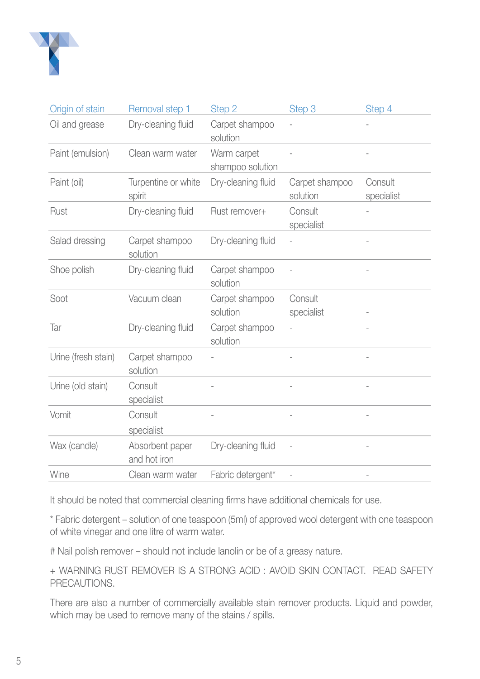

| Origin of stain     | Removal step 1                  | Step 2                          | Step 3                     | Step 4                |
|---------------------|---------------------------------|---------------------------------|----------------------------|-----------------------|
| Oil and grease      | Dry-cleaning fluid              | Carpet shampoo<br>solution      |                            |                       |
| Paint (emulsion)    | Clean warm water                | Warm carpet<br>shampoo solution |                            |                       |
| Paint (oil)         | Turpentine or white<br>spirit   | Dry-cleaning fluid              | Carpet shampoo<br>solution | Consult<br>specialist |
| Rust                | Dry-cleaning fluid              | Rust remover+                   | Consult<br>specialist      |                       |
| Salad dressing      | Carpet shampoo<br>solution      | Dry-cleaning fluid              |                            |                       |
| Shoe polish         | Dry-cleaning fluid              | Carpet shampoo<br>solution      |                            |                       |
| Soot                | Vacuum clean                    | Carpet shampoo<br>solution      | Consult<br>specialist      |                       |
| Tar                 | Dry-cleaning fluid              | Carpet shampoo<br>solution      |                            |                       |
| Urine (fresh stain) | Carpet shampoo<br>solution      |                                 |                            |                       |
| Urine (old stain)   | Consult<br>specialist           |                                 |                            |                       |
| Vomit               | Consult<br>specialist           |                                 |                            |                       |
| Wax (candle)        | Absorbent paper<br>and hot iron | Dry-cleaning fluid              |                            |                       |
| Wine                | Clean warm water                | Fabric detergent*               |                            |                       |

It should be noted that commercial cleaning firms have additional chemicals for use.

\* Fabric detergent – solution of one teaspoon (5ml) of approved wool detergent with one teaspoon of white vinegar and one litre of warm water.

# Nail polish remover – should not include lanolin or be of a greasy nature.

+ WARNING RUST REMOVER IS A STRONG ACID : AVOID SKIN CONTACT. READ SAFETY PRECAUTIONS.

There are also a number of commercially available stain remover products. Liquid and powder, which may be used to remove many of the stains / spills.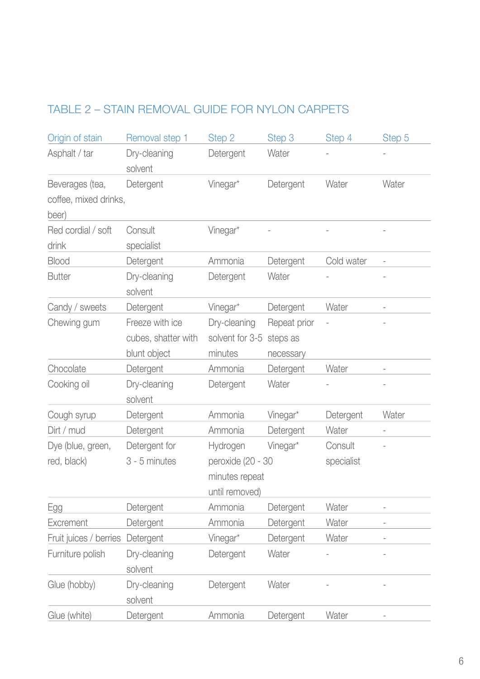# TABLE 2 – STAIN REMOVAL GUIDE FOR NYLON CARPETS

| Origin of stain        | Removal step 1          | Step 2                              | Step 3       | Step 4     | Step 5                   |
|------------------------|-------------------------|-------------------------------------|--------------|------------|--------------------------|
| Asphalt / tar          | Dry-cleaning<br>solvent | Detergent                           | Water        |            |                          |
| Beverages (tea,        | Detergent               | Vinegar*                            | Detergent    | Water      | Water                    |
| coffee, mixed drinks,  |                         |                                     |              |            |                          |
| beer)                  |                         |                                     |              |            |                          |
| Red cordial / soft     | Consult                 | Vinegar*                            |              |            |                          |
| drink                  | specialist              |                                     |              |            |                          |
| <b>Blood</b>           | Detergent               | Ammonia                             | Detergent    | Cold water |                          |
| <b>Butter</b>          | Dry-cleaning            | Detergent                           | Water        |            |                          |
|                        | solvent                 |                                     |              |            |                          |
| Candy / sweets         | Detergent               | Vinegar*                            | Detergent    | Water      |                          |
| Chewing gum            | Freeze with ice         | Dry-cleaning                        | Repeat prior |            |                          |
|                        | cubes, shatter with     | solvent for 3-5                     | steps as     |            |                          |
|                        | blunt object            | minutes                             | necessary    |            |                          |
| Chocolate              | Detergent               | Ammonia                             | Detergent    | Water      | $\overline{a}$           |
| Cooking oil            | Dry-cleaning            | Detergent                           | Water        |            |                          |
|                        | solvent                 |                                     |              |            |                          |
| Cough syrup            | Detergent               | Ammonia                             | Vinegar*     | Detergent  | Water                    |
| Dirt / mud             | Detergent               | Ammonia                             | Detergent    | Water      |                          |
| Dye (blue, green,      | Detergent for           | Hydrogen                            | Vinegar*     | Consult    |                          |
| red, black)            | 3 - 5 minutes           | peroxide (20 - 30<br>minutes repeat |              | specialist |                          |
|                        |                         |                                     |              |            |                          |
|                        |                         | until removed)                      |              |            |                          |
| Egg                    | Detergent               | Ammonia                             | Detergent    | Water      | $\overline{\phantom{a}}$ |
| Excrement              | Detergent               | Ammonia                             | Detergent    | Water      |                          |
| Fruit juices / berries | Detergent               | Vinegar*                            | Detergent    | Water      |                          |
| Furniture polish       | Dry-cleaning            | Detergent                           | Water        |            |                          |
|                        | solvent                 |                                     |              |            |                          |
| Glue (hobby)           | Dry-cleaning            | Detergent                           | Water        |            |                          |
|                        | solvent                 |                                     |              |            |                          |
| Glue (white)           | Detergent               | Ammonia                             | Detergent    | Water      |                          |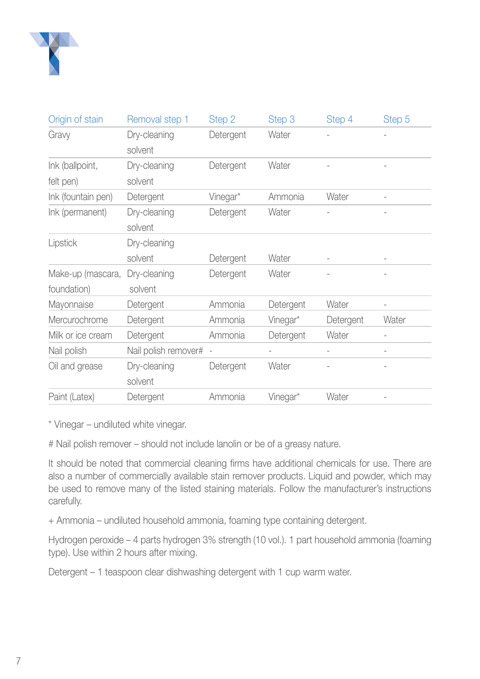

| Origin of stain    | Removal step 1       | Step 2    | Step 3    | Step 4    | Step 5 |
|--------------------|----------------------|-----------|-----------|-----------|--------|
| Gravy              | Dry-cleaning         | Detergent | Water     |           |        |
|                    | solvent              |           |           |           |        |
| Ink (ballpoint,    | Dry-cleaning         | Detergent | Water     |           |        |
| felt pen)          | solvent              |           |           |           |        |
| Ink (fountain pen) | Detergent            | Vinegar*  | Ammonia   | Water     |        |
| Ink (permanent)    | Dry-cleaning         | Detergent | Water     |           |        |
|                    | solvent              |           |           |           |        |
| Lipstick           | Dry-cleaning         |           |           |           |        |
|                    | solvent              | Detergent | Water     | ۰         |        |
| Make-up (mascara,  | Dry-cleaning         | Detergent | Water     |           |        |
| foundation)        | solvent              |           |           |           |        |
| Mayonnaise         | Detergent            | Ammonia   | Detergent | Water     |        |
| Mercurochrome      | Detergent            | Ammonia   | Vinegar*  | Detergent | Water  |
| Milk or ice cream  | Detergent            | Ammonia   | Detergent | Water     |        |
| Nail polish        | Nail polish remover# |           |           |           |        |
| Oil and grease     | Dry-cleaning         | Detergent | Water     |           |        |
|                    | solvent              |           |           |           |        |
| Paint (Latex)      | Detergent            | Ammonia   | Vinegar*  | Water     |        |

\* Vinegar – undiluted white vinegar.

# Nail polish remover – should not include lanolin or be of a greasy nature.

It should be noted that commercial cleaning firms have additional chemicals for use. There are also a number of commercially available stain remover products. Liquid and powder, which may be used to remove many of the listed staining materials. Follow the manufacturer's instructions carefully.

+ Ammonia – undiluted household ammonia, foaming type containing detergent.

Hydrogen peroxide – 4 parts hydrogen 3% strength (10 vol.). 1 part household ammonia (foaming type). Use within 2 hours after mixing.

Detergent – 1 teaspoon clear dishwashing detergent with 1 cup warm water.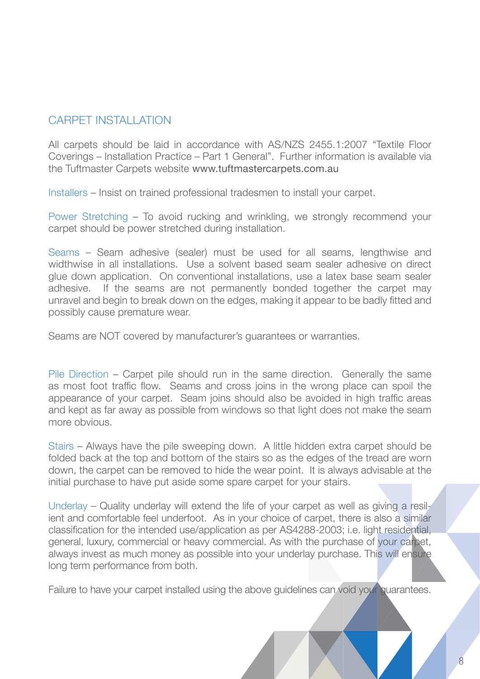### CARPET INSTALLATION

All carpets should be laid in accordance with AS/NZS 2455.1:2007 "Textile Floor Coverings – Installation Practice – Part 1 General". Further information is available via the Tuftmaster Carpets website www.tuftmastercarpets.com.au

Installers – Insist on trained professional tradesmen to install your carpet.

Power Stretching – To avoid rucking and wrinkling, we strongly recommend your carpet should be power stretched during installation.

Seams – Seam adhesive (sealer) must be used for all seams, lengthwise and widthwise in all installations. Use a solvent based seam sealer adhesive on direct glue down application. On conventional installations, use a latex base seam sealer adhesive. If the seams are not permanently bonded together the carpet may unravel and begin to break down on the edges, making it appear to be badly fitted and possibly cause premature wear.

Seams are NOT covered by manufacturer's guarantees or warranties.

Pile Direction – Carpet pile should run in the same direction. Generally the same as most foot traffic flow. Seams and cross joins in the wrong place can spoil the appearance of your carpet. Seam joins should also be avoided in high traffic areas and kept as far away as possible from windows so that light does not make the seam more obvious.

Stairs – Always have the pile sweeping down. A little hidden extra carpet should be folded back at the top and bottom of the stairs so as the edges of the tread are worn down, the carpet can be removed to hide the wear point. It is always advisable at the initial purchase to have put aside some spare carpet for your stairs.

Underlay – Quality underlay will extend the life of your carpet as well as giving a resilient and comfortable feel underfoot. As in your choice of carpet, there is also a similar classification for the intended use/application as per AS4288-2003; i.e. light residential, general, luxury, commercial or heavy commercial. As with the purchase of your carpet, always invest as much money as possible into your underlay purchase. This will ensure long term performance from both.

Failure to have your carpet installed using the above guidelines can void your quarantees.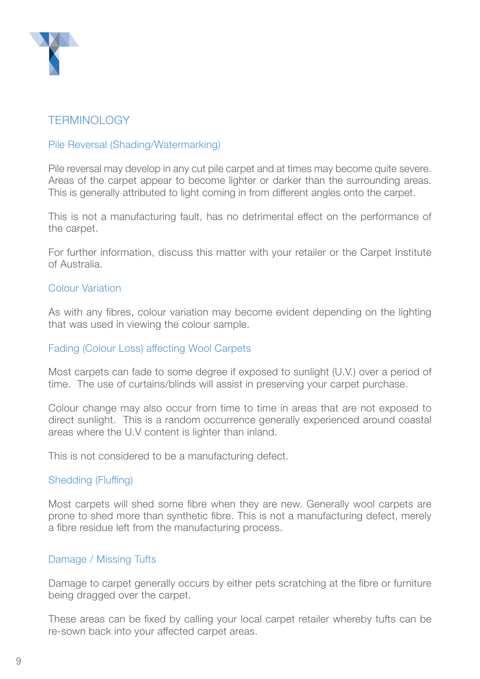

### **TERMINOLOGY**

#### Pile Reversal (Shading/Watermarking)

Pile reversal may develop in any cut pile carpet and at times may become quite severe. Areas of the carpet appear to become lighter or darker than the surrounding areas. This is generally attributed to light coming in from different angles onto the carpet.

This is not a manufacturing fault, has no detrimental effect on the performance of the carpet.

For further information, discuss this matter with your retailer or the Carpet Institute of Australia.

#### Colour Variation

As with any fibres, colour variation may become evident depending on the lighting that was used in viewing the colour sample.

#### Fading (Colour Loss) affecting Wool Carpets

Most carpets can fade to some degree if exposed to sunlight (U.V.) over a period of time. The use of curtains/blinds will assist in preserving your carpet purchase.

Colour change may also occur from time to time in areas that are not exposed to direct sunlight. This is a random occurrence generally experienced around coastal areas where the U.V content is lighter than inland.

This is not considered to be a manufacturing defect.

#### Shedding (Fluffing)

Most carpets will shed some fibre when they are new. Generally wool carpets are prone to shed more than synthetic fibre. This is not a manufacturing defect, merely a fibre residue left from the manufacturing process.

#### Damage / Missing Tufts

Damage to carpet generally occurs by either pets scratching at the fibre or furniture being dragged over the carpet.

These areas can be fixed by calling your local carpet retailer whereby tufts can be re-sown back into your affected carpet areas.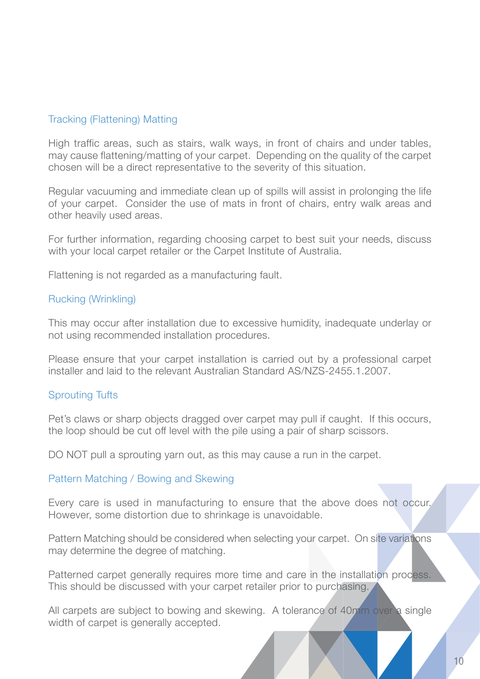#### Tracking (Flattening) Matting

High traffic areas, such as stairs, walk ways, in front of chairs and under tables, may cause flattening/matting of your carpet. Depending on the quality of the carpet chosen will be a direct representative to the severity of this situation.

Regular vacuuming and immediate clean up of spills will assist in prolonging the life of your carpet. Consider the use of mats in front of chairs, entry walk areas and other heavily used areas.

For further information, regarding choosing carpet to best suit your needs, discuss with your local carpet retailer or the Carpet Institute of Australia.

Flattening is not regarded as a manufacturing fault.

#### Rucking (Wrinkling)

This may occur after installation due to excessive humidity, inadequate underlay or not using recommended installation procedures.

Please ensure that your carpet installation is carried out by a professional carpet installer and laid to the relevant Australian Standard AS/NZS-2455.1.2007.

#### Sprouting Tufts

Pet's claws or sharp objects dragged over carpet may pull if caught. If this occurs, the loop should be cut off level with the pile using a pair of sharp scissors.

DO NOT pull a sprouting yarn out, as this may cause a run in the carpet.

#### Pattern Matching / Bowing and Skewing

Every care is used in manufacturing to ensure that the above does not occur. However, some distortion due to shrinkage is unavoidable.

Pattern Matching should be considered when selecting your carpet. On site variations may determine the degree of matching.

Patterned carpet generally requires more time and care in the installation process. This should be discussed with your carpet retailer prior to purchasing.

All carpets are subject to bowing and skewing. A tolerance of 40mm over a single width of carpet is generally accepted.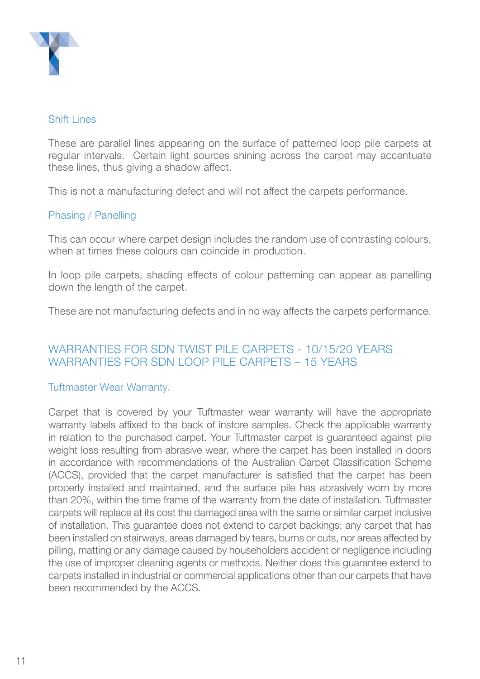

#### Shift Lines

These are parallel lines appearing on the surface of patterned loop pile carpets at regular intervals. Certain light sources shining across the carpet may accentuate these lines, thus giving a shadow affect.

This is not a manufacturing defect and will not affect the carpets performance.

### Phasing / Panelling

This can occur where carpet design includes the random use of contrasting colours, when at times these colours can coincide in production.

In loop pile carpets, shading effects of colour patterning can appear as panelling down the length of the carpet.

These are not manufacturing defects and in no way affects the carpets performance.

### Warranties for SDN Twist Pile Carpets - 10/15/20 YearS WARRANTIES FOR SDN LOOP PILE CARPETS - 15 YEARS

#### Tuftmaster Wear Warranty.

Carpet that is covered by your Tuftmaster wear warranty will have the appropriate warranty labels affixed to the back of instore samples. Check the applicable warranty in relation to the purchased carpet. Your Tuftmaster carpet is guaranteed against pile weight loss resulting from abrasive wear, where the carpet has been installed in doors in accordance with recommendations of the Australian Carpet Classification Scheme (ACCS), provided that the carpet manufacturer is satisfied that the carpet has been properly installed and maintained, and the surface pile has abrasively worn by more than 20%, within the time frame of the warranty from the date of installation. Tuftmaster carpets will replace at its cost the damaged area with the same or similar carpet inclusive of installation. This guarantee does not extend to carpet backings; any carpet that has been installed on stairways, areas damaged by tears, burns or cuts, nor areas affected by pilling, matting or any damage caused by householders accident or negligence including the use of improper cleaning agents or methods. Neither does this guarantee extend to carpets installed in industrial or commercial applications other than our carpets that have been recommended by the ACCS.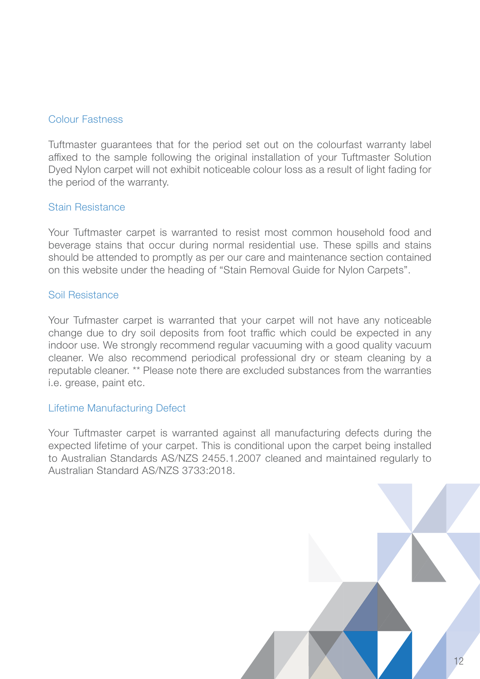#### Colour Fastness

Tuftmaster guarantees that for the period set out on the colourfast warranty label affixed to the sample following the original installation of your Tuftmaster Solution Dyed Nylon carpet will not exhibit noticeable colour loss as a result of light fading for the period of the warranty.

#### Stain Resistance

Your Tuftmaster carpet is warranted to resist most common household food and beverage stains that occur during normal residential use. These spills and stains should be attended to promptly as per our care and maintenance section contained on this website under the heading of "Stain Removal Guide for Nylon Carpets".

#### Soil Resistance

Your Tufmaster carpet is warranted that your carpet will not have any noticeable change due to dry soil deposits from foot traffic which could be expected in any indoor use. We strongly recommend regular vacuuming with a good quality vacuum cleaner. We also recommend periodical professional dry or steam cleaning by a reputable cleaner. \*\* Please note there are excluded substances from the warranties i.e. grease, paint etc.

#### Lifetime Manufacturing Defect

Your Tuftmaster carpet is warranted against all manufacturing defects during the expected lifetime of your carpet. This is conditional upon the carpet being installed to Australian Standards AS/NZS 2455.1.2007 cleaned and maintained regularly to Australian Standard AS/NZS 3733:2018.

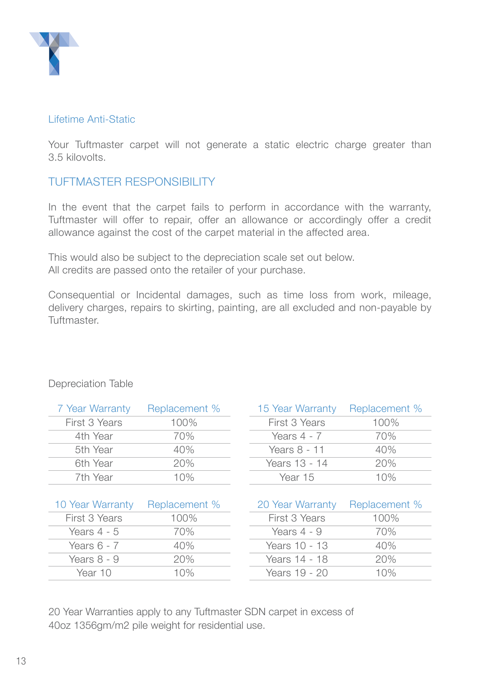

#### Lifetime Anti-Static

Your Tuftmaster carpet will not generate a static electric charge greater than 3.5 kilovolts.

### TUFTMASTER RESPONSIBILITY

In the event that the carpet fails to perform in accordance with the warranty, Tuftmaster will offer to repair, offer an allowance or accordingly offer a credit allowance against the cost of the carpet material in the affected area.

This would also be subject to the depreciation scale set out below. All credits are passed onto the retailer of your purchase.

Consequential or Incidental damages, such as time loss from work, mileage, delivery charges, repairs to skirting, painting, are all excluded and non-payable by Tuftmaster.

| 7 Year Warranty  | Replacement % | 15 Year Warranty | Replacement % |
|------------------|---------------|------------------|---------------|
| First 3 Years    | 100%          | First 3 Years    | 100%          |
| 4th Year         | 70%           | Years $4 - 7$    | 70%           |
| 5th Year         | 40%           | Years 8 - 11     | 40%           |
| 6th Year         | 20%           | Years 13 - 14    | 20%           |
| 7th Year         | 10%           | Year 15          | 10%           |
|                  |               |                  |               |
| 10 Year Warranty | Replacement % | 20 Year Warranty | Replacement % |
| First 3 Years    | 100%          | First 3 Years    | 100%          |
| Years $4 - 5$    | 70%           | Years $4 - 9$    | 70%           |
| Years $6 - 7$    | 40%           | Years 10 - 13    | 40%           |

Years 8 - 9 20% Years 14 - 18 20% Year 10 10% Years 19 - 20 10%

### Depreciation Table

20 Year Warranties apply to any Tuftmaster SDN carpet in excess of 40oz 1356gm/m2 pile weight for residential use.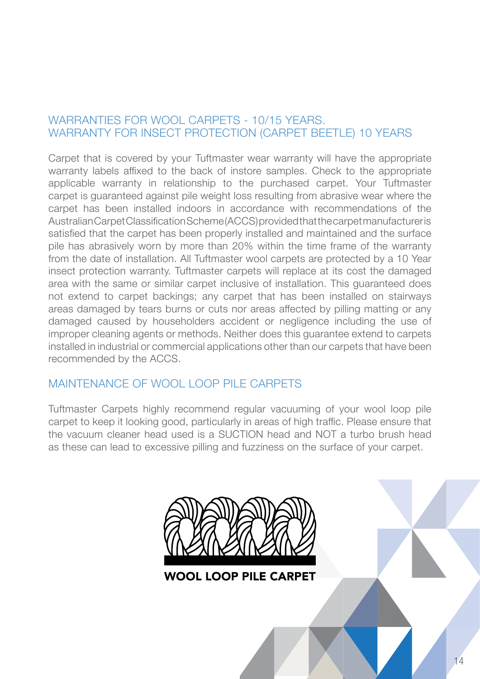### WARRANTIES FOR WOOL CARPETS - 10/15 YEARS. WARRANTY FOR INSECT PROTECTION (CARPET BEETLE) 10 YEARS

Carpet that is covered by your Tuftmaster wear warranty will have the appropriate warranty labels affixed to the back of instore samples. Check to the appropriate applicable warranty in relationship to the purchased carpet. Your Tuftmaster carpet is guaranteed against pile weight loss resulting from abrasive wear where the carpet has been installed indoors in accordance with recommendations of the Australian Carpet Classification Scheme (ACCS) provided that the carpet manufacturer is satisfied that the carpet has been properly installed and maintained and the surface pile has abrasively worn by more than 20% within the time frame of the warranty from the date of installation. All Tuftmaster wool carpets are protected by a 10 Year insect protection warranty. Tuftmaster carpets will replace at its cost the damaged area with the same or similar carpet inclusive of installation. This guaranteed does not extend to carpet backings; any carpet that has been installed on stairways areas damaged by tears burns or cuts nor areas affected by pilling matting or any damaged caused by householders accident or negligence including the use of improper cleaning agents or methods. Neither does this guarantee extend to carpets installed in industrial or commercial applications other than our carpets that have been recommended by the ACCS.

### MAINTENANCE OF WOOL LOOP PILE CARPETS

Tuftmaster Carpets highly recommend regular vacuuming of your wool loop pile carpet to keep it looking good, particularly in areas of high traffic. Please ensure that the vacuum cleaner head used is a SUCTION head and NOT a turbo brush head as these can lead to excessive pilling and fuzziness on the surface of your carpet.



**WOOL LOOP PILE CARPET**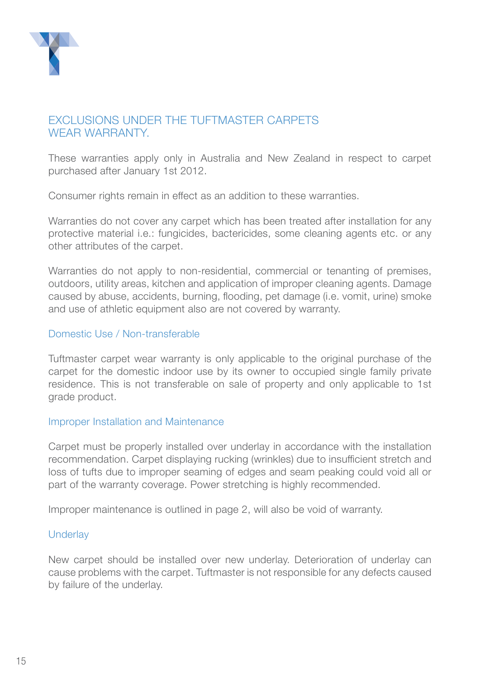

### **EXCLUSIONS UNDER THE TUFTMASTER CARPETS** WEAR WARRANTY

These warranties apply only in Australia and New Zealand in respect to carpet purchased after January 1st 2012.

Consumer rights remain in effect as an addition to these warranties.

Warranties do not cover any carpet which has been treated after installation for any protective material i.e.: fungicides, bactericides, some cleaning agents etc. or any other attributes of the carpet.

Warranties do not apply to non-residential, commercial or tenanting of premises, outdoors, utility areas, kitchen and application of improper cleaning agents. Damage caused by abuse, accidents, burning, flooding, pet damage (i.e. vomit, urine) smoke and use of athletic equipment also are not covered by warranty.

#### Domestic Use / Non-transferable

Tuftmaster carpet wear warranty is only applicable to the original purchase of the carpet for the domestic indoor use by its owner to occupied single family private residence. This is not transferable on sale of property and only applicable to 1st grade product.

#### Improper Installation and Maintenance

Carpet must be properly installed over underlay in accordance with the installation recommendation. Carpet displaying rucking (wrinkles) due to insufficient stretch and loss of tufts due to improper seaming of edges and seam peaking could void all or part of the warranty coverage. Power stretching is highly recommended.

Improper maintenance is outlined in page 2, will also be void of warranty.

#### **Underlay**

New carpet should be installed over new underlay. Deterioration of underlay can cause problems with the carpet. Tuftmaster is not responsible for any defects caused by failure of the underlay.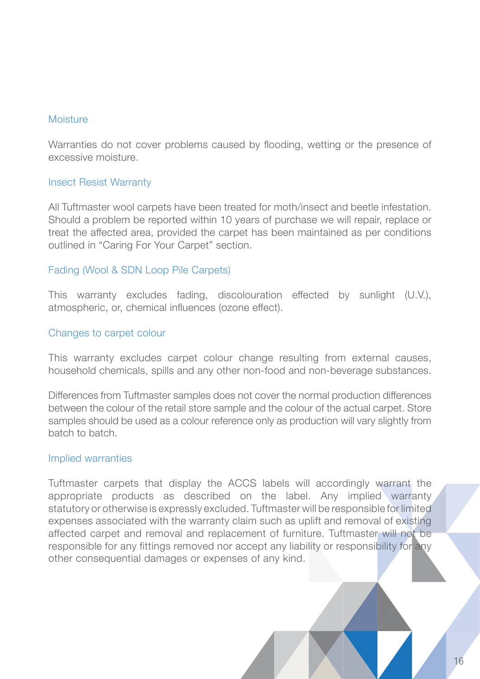#### Moisture

Warranties do not cover problems caused by flooding, wetting or the presence of excessive moisture.

#### Insect Resist Warranty

All Tuftmaster wool carpets have been treated for moth/insect and beetle infestation. Should a problem be reported within 10 years of purchase we will repair, replace or treat the affected area, provided the carpet has been maintained as per conditions outlined in "Caring For Your Carpet" section.

#### Fading (Wool & SDN Loop Pile Carpets)

This warranty excludes fading, discolouration effected by sunlight (U.V.), atmospheric, or, chemical influences (ozone effect).

#### Changes to carpet colour

This warranty excludes carpet colour change resulting from external causes, household chemicals, spills and any other non-food and non-beverage substances.

Differences from Tuftmaster samples does not cover the normal production differences between the colour of the retail store sample and the colour of the actual carpet. Store samples should be used as a colour reference only as production will vary slightly from batch to batch.

#### Implied warranties

Tuftmaster carpets that display the ACCS labels will accordingly warrant the appropriate products as described on the label. Any implied warranty statutory or otherwise is expressly excluded. Tuftmaster will be responsible for limited expenses associated with the warranty claim such as uplift and removal of existing affected carpet and removal and replacement of furniture. Tuftmaster will not be responsible for any fittings removed nor accept any liability or responsibility for any other consequential damages or expenses of any kind.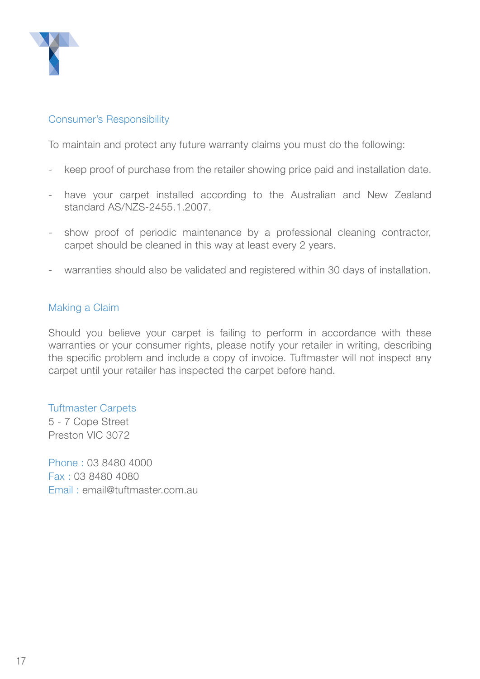

#### Consumer's Responsibility

To maintain and protect any future warranty claims you must do the following:

- keep proof of purchase from the retailer showing price paid and installation date.
- have your carpet installed according to the Australian and New Zealand standard AS/NZS-2455.1.2007.
- show proof of periodic maintenance by a professional cleaning contractor, carpet should be cleaned in this way at least every 2 years.
- warranties should also be validated and registered within 30 days of installation.

#### Making a Claim

Should you believe your carpet is failing to perform in accordance with these warranties or your consumer rights, please notify your retailer in writing, describing the specific problem and include a copy of invoice. Tuftmaster will not inspect any carpet until your retailer has inspected the carpet before hand.

#### Tuftmaster Carpets

5 - 7 Cope Street Preston VIC 3072

Phone : 03 8480 4000 Fax : 03 8480 4080 Email : email@tuftmaster.com.au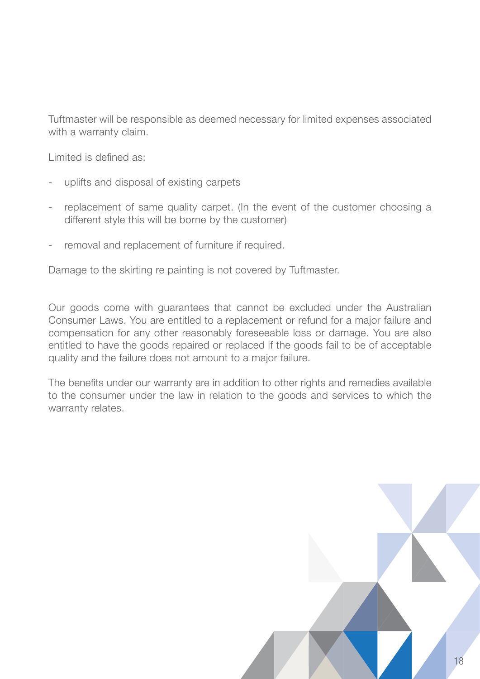Tuftmaster will be responsible as deemed necessary for limited expenses associated with a warranty claim.

Limited is defined as:

- uplifts and disposal of existing carpets
- replacement of same quality carpet. (In the event of the customer choosing a different style this will be borne by the customer)
- removal and replacement of furniture if required.

Damage to the skirting re painting is not covered by Tuftmaster.

Our goods come with guarantees that cannot be excluded under the Australian Consumer Laws. You are entitled to a replacement or refund for a major failure and compensation for any other reasonably foreseeable loss or damage. You are also entitled to have the goods repaired or replaced if the goods fail to be of acceptable quality and the failure does not amount to a major failure.

The benefits under our warranty are in addition to other rights and remedies available to the consumer under the law in relation to the goods and services to which the warranty relates.